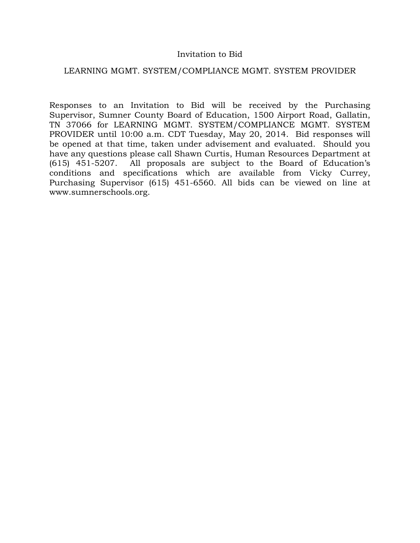## Invitation to Bid

### LEARNING MGMT. SYSTEM/COMPLIANCE MGMT. SYSTEM PROVIDER

Responses to an Invitation to Bid will be received by the Purchasing Supervisor, Sumner County Board of Education, 1500 Airport Road, Gallatin, TN 37066 for LEARNING MGMT. SYSTEM/COMPLIANCE MGMT. SYSTEM PROVIDER until 10:00 a.m. CDT Tuesday, May 20, 2014. Bid responses will be opened at that time, taken under advisement and evaluated. Should you have any questions please call Shawn Curtis, Human Resources Department at (615) 451-5207. All proposals are subject to the Board of Education's conditions and specifications which are available from Vicky Currey, Purchasing Supervisor (615) 451-6560. All bids can be viewed on line at www.sumnerschools.org.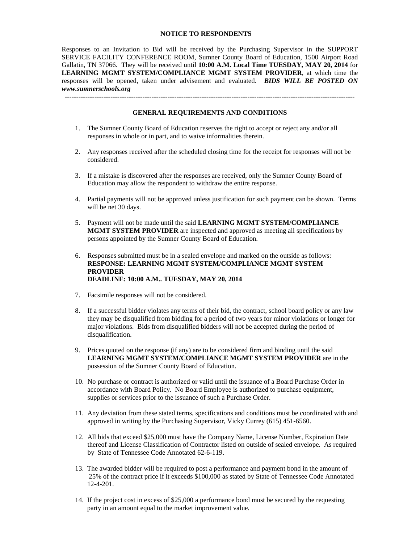#### **NOTICE TO RESPONDENTS**

Responses to an Invitation to Bid will be received by the Purchasing Supervisor in the SUPPORT SERVICE FACILITY CONFERENCE ROOM, Sumner County Board of Education, 1500 Airport Road Gallatin, TN 37066. They will be received until **10:00 A.M. Local Time TUESDAY, MAY 20, 2014** for **LEARNING MGMT SYSTEM/COMPLIANCE MGMT SYSTEM PROVIDER**, at which time the responses will be opened, taken under advisement and evaluated. *BIDS WILL BE POSTED ON www.sumnerschools.org*

# **GENERAL REQUIREMENTS AND CONDITIONS**

-------------------------------------------------------------------------------------------------------------------------------

- 1. The Sumner County Board of Education reserves the right to accept or reject any and/or all responses in whole or in part, and to waive informalities therein.
- 2. Any responses received after the scheduled closing time for the receipt for responses will not be considered.
- 3. If a mistake is discovered after the responses are received, only the Sumner County Board of Education may allow the respondent to withdraw the entire response.
- 4. Partial payments will not be approved unless justification for such payment can be shown. Terms will be net 30 days.
- 5. Payment will not be made until the said **LEARNING MGMT SYSTEM/COMPLIANCE MGMT SYSTEM PROVIDER** are inspected and approved as meeting all specifications by persons appointed by the Sumner County Board of Education.
- 6. Responses submitted must be in a sealed envelope and marked on the outside as follows: **RESPONSE: LEARNING MGMT SYSTEM/COMPLIANCE MGMT SYSTEM PROVIDER DEADLINE: 10:00 A.M.. TUESDAY, MAY 20, 2014**
- 7. Facsimile responses will not be considered.
- 8. If a successful bidder violates any terms of their bid, the contract, school board policy or any law they may be disqualified from bidding for a period of two years for minor violations or longer for major violations. Bids from disqualified bidders will not be accepted during the period of disqualification.
- 9. Prices quoted on the response (if any) are to be considered firm and binding until the said **LEARNING MGMT SYSTEM/COMPLIANCE MGMT SYSTEM PROVIDER** are in the possession of the Sumner County Board of Education.
- 10. No purchase or contract is authorized or valid until the issuance of a Board Purchase Order in accordance with Board Policy. No Board Employee is authorized to purchase equipment, supplies or services prior to the issuance of such a Purchase Order.
- 11. Any deviation from these stated terms, specifications and conditions must be coordinated with and approved in writing by the Purchasing Supervisor, Vicky Currey (615) 451-6560.
- 12. All bids that exceed \$25,000 must have the Company Name, License Number, Expiration Date thereof and License Classification of Contractor listed on outside of sealed envelope. As required by State of Tennessee Code Annotated 62-6-119.
- 13. The awarded bidder will be required to post a performance and payment bond in the amount of 25% of the contract price if it exceeds \$100,000 as stated by State of Tennessee Code Annotated 12-4-201.
- 14. If the project cost in excess of \$25,000 a performance bond must be secured by the requesting party in an amount equal to the market improvement value.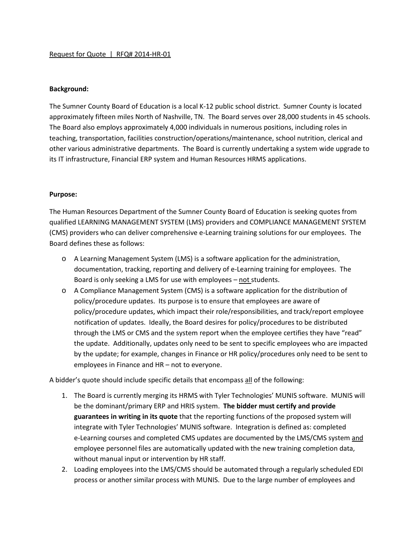### **Background:**

The Sumner County Board of Education is a local K-12 public school district. Sumner County is located approximately fifteen miles North of Nashville, TN. The Board serves over 28,000 students in 45 schools. The Board also employs approximately 4,000 individuals in numerous positions, including roles in teaching, transportation, facilities construction/operations/maintenance, school nutrition, clerical and other various administrative departments. The Board is currently undertaking a system wide upgrade to its IT infrastructure, Financial ERP system and Human Resources HRMS applications.

### **Purpose:**

The Human Resources Department of the Sumner County Board of Education is seeking quotes from qualified LEARNING MANAGEMENT SYSTEM (LMS) providers and COMPLIANCE MANAGEMENT SYSTEM (CMS) providers who can deliver comprehensive e-Learning training solutions for our employees. The Board defines these as follows:

- o A Learning Management System (LMS) is a software application for the administration, documentation, tracking, reporting and delivery of e-Learning training for employees. The Board is only seeking a LMS for use with employees – not students.
- o A Compliance Management System (CMS) is a software application for the distribution of policy/procedure updates. Its purpose is to ensure that employees are aware of policy/procedure updates, which impact their role/responsibilities, and track/report employee notification of updates. Ideally, the Board desires for policy/procedures to be distributed through the LMS or CMS and the system report when the employee certifies they have "read" the update. Additionally, updates only need to be sent to specific employees who are impacted by the update; for example, changes in Finance or HR policy/procedures only need to be sent to employees in Finance and HR – not to everyone.

A bidder's quote should include specific details that encompass all of the following:

- 1. The Board is currently merging its HRMS with Tyler Technologies' MUNIS software. MUNIS will be the dominant/primary ERP and HRIS system. **The bidder must certify and provide guarantees in writing in its quote** that the reporting functions of the proposed system will integrate with Tyler Technologies' MUNIS software. Integration is defined as: completed e-Learning courses and completed CMS updates are documented by the LMS/CMS system and employee personnel files are automatically updated with the new training completion data, without manual input or intervention by HR staff.
- 2. Loading employees into the LMS/CMS should be automated through a regularly scheduled EDI process or another similar process with MUNIS. Due to the large number of employees and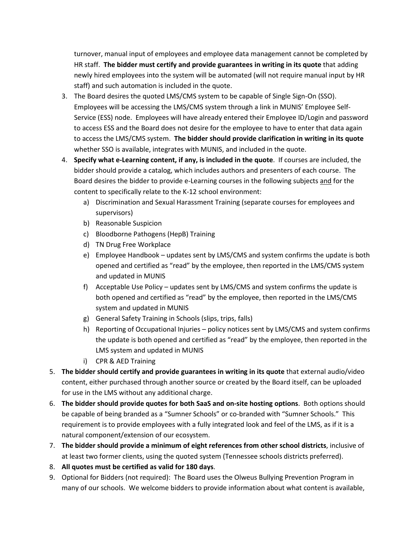turnover, manual input of employees and employee data management cannot be completed by HR staff. **The bidder must certify and provide guarantees in writing in its quote** that adding newly hired employees into the system will be automated (will not require manual input by HR staff) and such automation is included in the quote.

- 3. The Board desires the quoted LMS/CMS system to be capable of Single Sign-On (SSO). Employees will be accessing the LMS/CMS system through a link in MUNIS' Employee Self-Service (ESS) node. Employees will have already entered their Employee ID/Login and password to access ESS and the Board does not desire for the employee to have to enter that data again to access the LMS/CMS system. **The bidder should provide clarification in writing in its quote** whether SSO is available, integrates with MUNIS, and included in the quote.
- 4. **Specify what e-Learning content, if any, is included in the quote**. If courses are included, the bidder should provide a catalog, which includes authors and presenters of each course. The Board desires the bidder to provide e-Learning courses in the following subjects and for the content to specifically relate to the K-12 school environment:
	- a) Discrimination and Sexual Harassment Training (separate courses for employees and supervisors)
	- b) Reasonable Suspicion
	- c) Bloodborne Pathogens (HepB) Training
	- d) TN Drug Free Workplace
	- e) Employee Handbook updates sent by LMS/CMS and system confirms the update is both opened and certified as "read" by the employee, then reported in the LMS/CMS system and updated in MUNIS
	- f) Acceptable Use Policy updates sent by LMS/CMS and system confirms the update is both opened and certified as "read" by the employee, then reported in the LMS/CMS system and updated in MUNIS
	- g) General Safety Training in Schools (slips, trips, falls)
	- h) Reporting of Occupational Injuries policy notices sent by LMS/CMS and system confirms the update is both opened and certified as "read" by the employee, then reported in the LMS system and updated in MUNIS
	- i) CPR & AED Training
- 5. **The bidder should certify and provide guarantees in writing in its quote** that external audio/video content, either purchased through another source or created by the Board itself, can be uploaded for use in the LMS without any additional charge.
- 6. **The bidder should provide quotes for both SaaS and on-site hosting options**. Both options should be capable of being branded as a "Sumner Schools" or co-branded with "Sumner Schools." This requirement is to provide employees with a fully integrated look and feel of the LMS, as if it is a natural component/extension of our ecosystem.
- 7. **The bidder should provide a minimum of eight references from other school districts**, inclusive of at least two former clients, using the quoted system (Tennessee schools districts preferred).
- 8. **All quotes must be certified as valid for 180 days**.
- 9. Optional for Bidders (not required): The Board uses the Olweus Bullying Prevention Program in many of our schools. We welcome bidders to provide information about what content is available,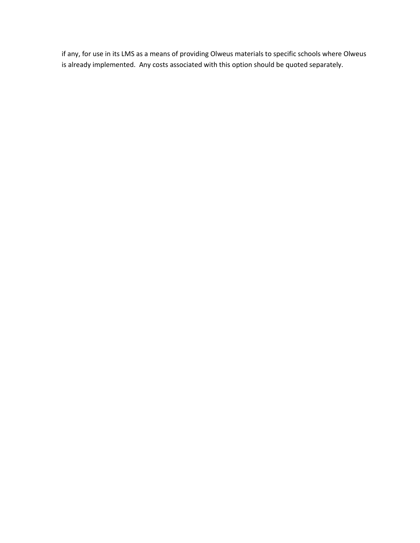if any, for use in its LMS as a means of providing Olweus materials to specific schools where Olweus is already implemented. Any costs associated with this option should be quoted separately.